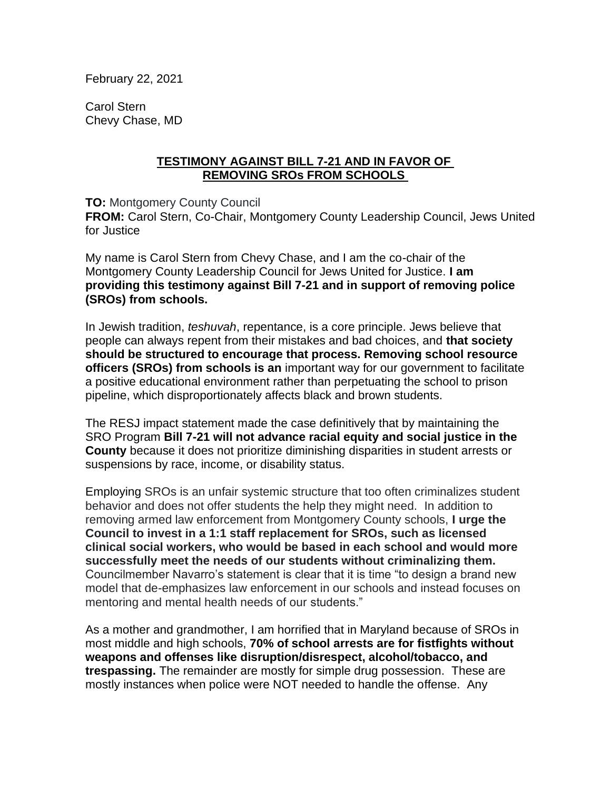February 22, 2021

Carol Stern Chevy Chase, MD

## **TESTIMONY AGAINST BILL 7-21 AND IN FAVOR OF REMOVING SROs FROM SCHOOLS**

**TO:** Montgomery County Council

**FROM:** Carol Stern, Co-Chair, Montgomery County Leadership Council, Jews United for Justice

My name is Carol Stern from Chevy Chase, and I am the co-chair of the Montgomery County Leadership Council for Jews United for Justice. **I am providing this testimony against Bill 7-21 and in support of removing police (SROs) from schools.**

In Jewish tradition, *teshuvah*, repentance, is a core principle. Jews believe that people can always repent from their mistakes and bad choices, and **that society should be structured to encourage that process. Removing school resource officers (SROs) from schools is an** important way for our government to facilitate a positive educational environment rather than perpetuating the school to prison pipeline, which disproportionately affects black and brown students.

The RESJ impact statement made the case definitively that by maintaining the SRO Program **Bill 7-21 will not advance racial equity and social justice in the County** because it does not prioritize diminishing disparities in student arrests or suspensions by race, income, or disability status.

Employing SROs is an unfair systemic structure that too often criminalizes student behavior and does not offer students the help they might need. In addition to removing armed law enforcement from Montgomery County schools, **I urge the Council to invest in a 1:1 staff replacement for SROs, such as licensed clinical social workers, who would be based in each school and would more successfully meet the needs of our students without criminalizing them.**  Councilmember Navarro's statement is clear that it is time "to design a brand new model that de-emphasizes law enforcement in our schools and instead focuses on mentoring and mental health needs of our students."

As a mother and grandmother, I am horrified that in Maryland because of SROs in most middle and high schools, **70% of school arrests are for fistfights without weapons and offenses like disruption/disrespect, alcohol/tobacco, and trespassing.** The remainder are mostly for simple drug possession. These are mostly instances when police were NOT needed to handle the offense. Any